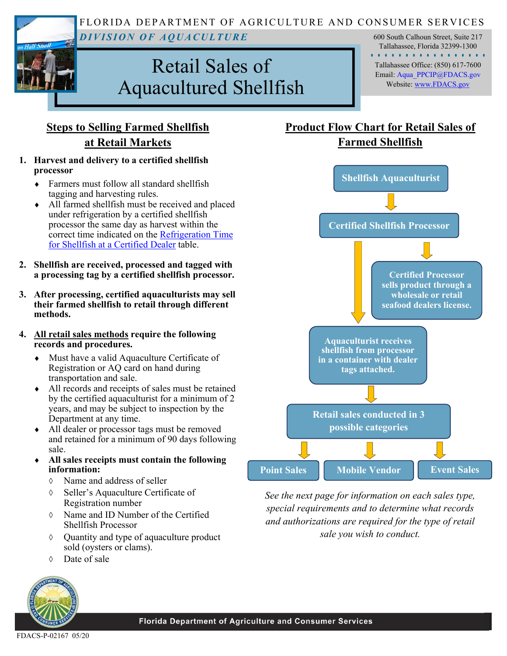FLORIDA DEPARTMENT OF AGRICULTURE AND CONSUMER SERVICES *D I V I S I O N O F A Q U A C U L T U R E*  600 South Calhoun Street, Suite 217

# Retail Sales of Aquacultured Shellfish

Tallahassee, Florida 32399-1300 . . . . . . . . . . . . . . . . . Tallahassee Office: (850) 617-7600 Email: [Aqua\\_PPCIP@FDACS.gov](mailto:Aqua_PPCIP@FDACS.gov) Website: [www.FDACS.gov](http://www.FDACS.gov)

## **Steps to Selling Farmed Shellfish at Retail Markets**

#### **1. Harvest and delivery to a certified shellfish processor**

- Farmers must follow all standard shellfish tagging and harvesting rules.
- All farmed shellfish must be received and placed under refrigeration by a certified shellfish processor the same day as harvest within the correct time indicated on the [Refrigeration Time](https://www.fdacs.gov/content/download/66404/file/FDACS-P-00278-Refrigeration-Requirements-2019.pdf)  [for Shellfish at a Certified Dealer](https://www.fdacs.gov/content/download/66404/file/FDACS-P-00278-Refrigeration-Requirements-2019.pdf) table.
- **2. Shellfish are received, processed and tagged with a processing tag by a certified shellfish processor.**
- **3. After processing, certified aquaculturists may sell their farmed shellfish to retail through different methods.**
- **4. All retail sales methods require the following records and procedures.**
	- Must have a valid Aquaculture Certificate of Registration or AQ card on hand during transportation and sale.
	- All records and receipts of sales must be retained by the certified aquaculturist for a minimum of 2 years, and may be subject to inspection by the Department at any time.
	- All dealer or processor tags must be removed and retained for a minimum of 90 days following sale.
	- **All sales receipts must contain the following information:** 
		- Name and address of seller
		- Seller's Aquaculture Certificate of Registration number
		- Name and ID Number of the Certified Shellfish Processor
		- Quantity and type of aquaculture product sold (oysters or clams).
		- Date of sale



## **Product Flow Chart for Retail Sales of Farmed Shellfish**



*See the next page for information on each sales type, special requirements and to determine what records and authorizations are required for the type of retail sale you wish to conduct.*